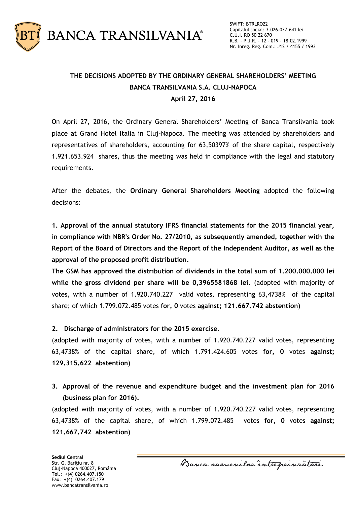

## **THE DECISIONS ADOPTED BY THE ORDINARY GENERAL SHAREHOLDERS' MEETING BANCA TRANSILVANIA S.A. CLUJ-NAPOCA April 27, 2016**

On April 27, 2016, the Ordinary General Shareholders' Meeting of Banca Transilvania took place at Grand Hotel Italia in Cluj-Napoca. The meeting was attended by shareholders and representatives of shareholders, accounting for 63,50397% of the share capital, respectively 1.921.653.924 shares, thus the meeting was held in compliance with the legal and statutory requirements.

After the debates, the **Ordinary General Shareholders Meeting** adopted the following decisions:

**1. Approval of the annual statutory IFRS financial statements for the 2015 financial year, in compliance with NBR's Order No. 27/2010, as subsequently amended, together with the Report of the Board of Directors and the Report of the Independent Auditor, as well as the approval of the proposed profit distribution.**

**The GSM has approved the distribution of dividends in the total sum of 1.200.000.000 lei while the gross dividend per share will be 0,3965581868 lei.** (adopted with majority of votes, with a number of 1.920.740.227 valid votes, representing 63,4738% of the capital share; of which 1.799.072.485 votes **for, 0** votes **against; 121.667.742 abstention)**

**2. Discharge of administrators for the 2015 exercise.**

(adopted with majority of votes, with a number of 1.920.740.227 valid votes, representing 63,4738% of the capital share, of which 1.791.424.605 votes **for, 0** votes **against; 129.315.622 abstention)**

**3. Approval of the revenue and expenditure budget and the investment plan for 2016 (business plan for 2016).**

(adopted with majority of votes, with a number of 1.920.740.227 valid votes, representing 63,4738% of the capital share, of which 1.799.072.485 votes **for, 0** votes **against; 121.667.742 abstention)**

**Sediul Central** Str. G. Bariţiu nr. 8 Cluj-Napoca 400027, România Tel.: +(4) 0264.407.150 Fax: +(4) 0264.407.179 www.bancatransilvania.ro

Banca samenilor intreprinzatori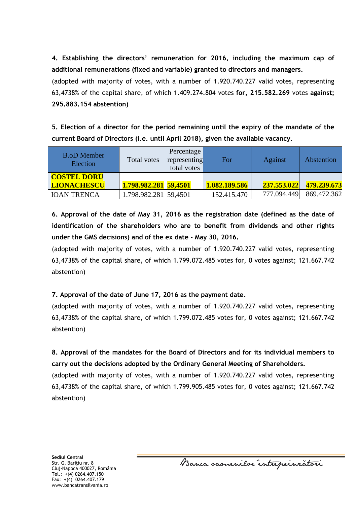**4. Establishing the directors' remuneration for 2016, including the maximum cap of additional remunerations (fixed and variable) granted to directors and managers.**

(adopted with majority of votes, with a number of 1.920.740.227 valid votes, representing 63,4738% of the capital share, of which 1.409.274.804 votes **for, 215.582.269** votes **against; 295.883.154 abstention)**

**5. Election of a director for the period remaining until the expiry of the mandate of the current Board of Directors (i.e. until April 2018), given the available vacancy.**

| <b>B.oD Member</b><br>Election | Total votes           | Percentage<br>representing<br>total votes | For           | <b>Against</b> | Abstention  |
|--------------------------------|-----------------------|-------------------------------------------|---------------|----------------|-------------|
| <b>COSTEL DORU</b>             |                       |                                           |               |                |             |
| <b>LIONACHESCU</b>             | 1.798.982.281 59,4501 |                                           | 1.082.189.586 | 237.553.022    | 479.239.673 |
| <b>IOAN TRENCA</b>             | 1.798.982.281 59,4501 |                                           | 152.415.470   | 777.094.449    | 869.472.362 |

**6. Approval of the date of May 31, 2016 as the registration date (defined as the date of identification of the shareholders who are to benefit from dividends and other rights under the GMS decisions) and of the ex date - May 30, 2016.**

(adopted with majority of votes, with a number of 1.920.740.227 valid votes, representing 63,4738% of the capital share, of which 1.799.072.485 votes for, 0 votes against; 121.667.742 abstention)

## **7. Approval of the date of June 17, 2016 as the payment date.**

(adopted with majority of votes, with a number of 1.920.740.227 valid votes, representing 63,4738% of the capital share, of which 1.799.072.485 votes for, 0 votes against; 121.667.742 abstention)

**8. Approval of the mandates for the Board of Directors and for its individual members to carry out the decisions adopted by the Ordinary General Meeting of Shareholders.**

(adopted with majority of votes, with a number of 1.920.740.227 valid votes, representing 63,4738% of the capital share, of which 1.799.905.485 votes for, 0 votes against; 121.667.742 abstention)

**Sediul Central** Str. G. Bariţiu nr. 8 Cluj-Napoca 400027, România Tel.: +(4) 0264.407.150 Fax: +(4) 0264.407.179 www.bancatransilvania.ro

Banca samenilor intreprinratori